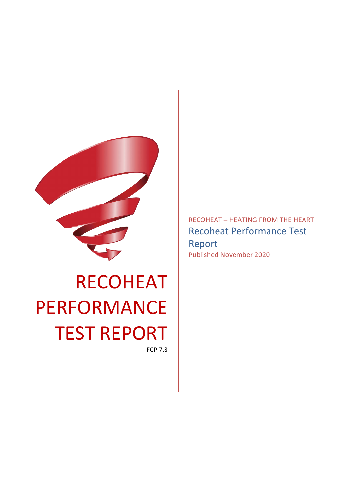

# RECOHEAT PERFORMANCE TEST REPORT FCP 7.8

RECOHEAT – HEATING FROM THE HEART Recoheat Performance Test Report Published November 2020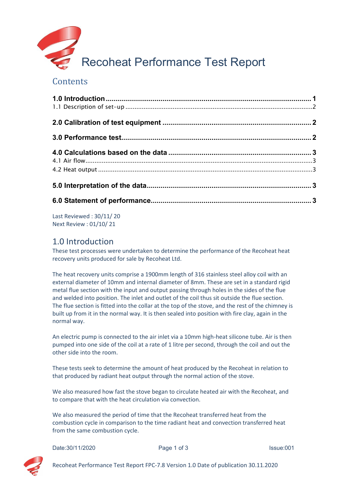

## **Contents**

Last Reviewed : 30/11/ 20 Next Review : 01/10/ 21

## <span id="page-1-0"></span>1.0 Introduction

These test processes were undertaken to determine the performance of the Recoheat heat recovery units produced for sale by Recoheat Ltd.

The heat recovery units comprise a 1900mm length of 316 stainless steel alloy coil with an external diameter of 10mm and internal diameter of 8mm. These are set in a standard rigid metal flue section with the input and output passing through holes in the sides of the flue and welded into position. The inlet and outlet of the coil thus sit outside the flue section. The flue section is fitted into the collar at the top of the stove, and the rest of the chimney is built up from it in the normal way. It is then sealed into position with fire clay, again in the normal way.

An electric pump is connected to the air inlet via a 10mm high-heat silicone tube. Air is then pumped into one side of the coil at a rate of 1 litre per second, through the coil and out the other side into the room.

These tests seek to determine the amount of heat produced by the Recoheat in relation to that produced by radiant heat output through the normal action of the stove.

We also measured how fast the stove began to circulate heated air with the Recoheat, and to compare that with the heat circulation via convection.

We also measured the period of time that the Recoheat transferred heat from the combustion cycle in comparison to the time radiant heat and convection transferred heat from the same combustion cycle.



Date:30/11/2020 **Page 1 of 3** Issue:001

Recoheat Performance Test Report FPC-7.8 Version 1.0 Date of publication 30.11.2020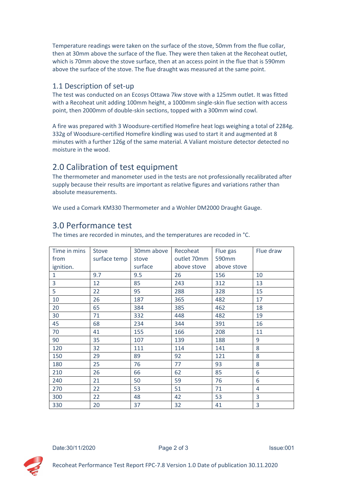Temperature readings were taken on the surface of the stove, 50mm from the flue collar, then at 30mm above the surface of the flue. They were then taken at the Recoheat outlet, which is 70mm above the stove surface, then at an access point in the flue that is 590mm above the surface of the stove. The flue draught was measured at the same point.

#### <span id="page-2-0"></span>1.1 Description of set-up

The test was conducted on an Ecosys Ottawa 7kw stove with a 125mm outlet. It was fitted with a Recoheat unit adding 100mm height, a 1000mm single-skin flue section with access point, then 2000mm of double-skin sections, topped with a 300mm wind cowl.

A fire was prepared with 3 Woodsure-certified Homefire heat logs weighing a total of 2284g. 332g of Woodsure-certified Homefire kindling was used to start it and augmented at 8 minutes with a further 126g of the same material. A Valiant moisture detector detected no moisture in the wood.

### <span id="page-2-1"></span>2.0 Calibration of test equipment

The thermometer and manometer used in the tests are not professionally recalibrated after supply because their results are important as relative figures and variations rather than absolute measurements.

We used a Comark KM330 Thermometer and a Wohler DM2000 Draught Gauge.

#### <span id="page-2-2"></span>3.0 Performance test

The times are recorded in minutes, and the temperatures are recoded in °C.

| Time in mins | Stove        | 30mm above | Recoheat    | Flue gas    | Flue draw |
|--------------|--------------|------------|-------------|-------------|-----------|
| from         | surface temp | stove      | outlet 70mm | 590mm       |           |
| ignition.    |              | surface    | above stove | above stove |           |
| $\mathbf{1}$ | 9.7          | 9.5        | 26          | 156         | 10        |
| 3            | 12           | 85         | 243         | 312         | 13        |
| 5            | 22           | 95         | 288         | 328         | 15        |
| 10           | 26           | 187        | 365         | 482         | 17        |
| 20           | 65           | 384        | 385         | 462         | 18        |
| 30           | 71           | 332        | 448         | 482         | 19        |
| 45           | 68           | 234        | 344         | 391         | 16        |
| 70           | 41           | 155        | 166         | 208         | 11        |
| 90           | 35           | 107        | 139         | 188         | 9         |
| 120          | 32           | 111        | 114         | 141         | 8         |
| 150          | 29           | 89         | 92          | 121         | 8         |
| 180          | 25           | 76         | 77          | 93          | 8         |
| 210          | 26           | 66         | 62          | 85          | 6         |
| 240          | 21           | 50         | 59          | 76          | 6         |
| 270          | 22           | 53         | 51          | 71          | 4         |
| 300          | 22           | 48         | 42          | 53          | 3         |
| 330          | 20           | 37         | 32          | 41          | 3         |